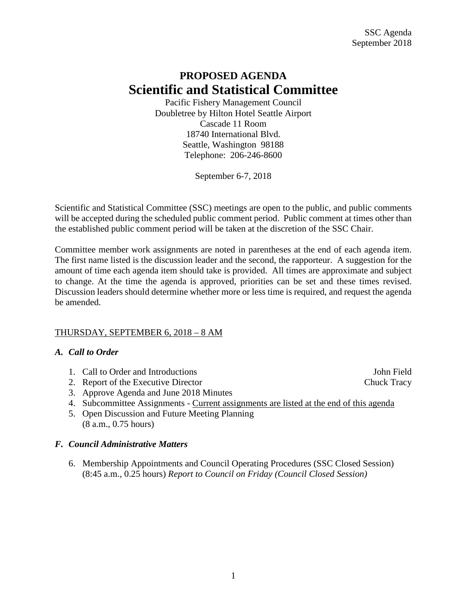# **PROPOSED AGENDA Scientific and Statistical Committee**

Pacific Fishery Management Council Doubletree by Hilton Hotel Seattle Airport Cascade 11 Room 18740 International Blvd. Seattle, Washington 98188 Telephone: 206-246-8600

September 6-7, 2018

Scientific and Statistical Committee (SSC) meetings are open to the public, and public comments will be accepted during the scheduled public comment period. Public comment at times other than the established public comment period will be taken at the discretion of the SSC Chair.

Committee member work assignments are noted in parentheses at the end of each agenda item. The first name listed is the discussion leader and the second, the rapporteur. A suggestion for the amount of time each agenda item should take is provided. All times are approximate and subject to change. At the time the agenda is approved, priorities can be set and these times revised. Discussion leaders should determine whether more or less time is required, and request the agenda be amended.

# THURSDAY, SEPTEMBER 6, 2018 – 8 AM

# *A. Call to Order*

- 1. Call to Order and Introductions and  $\frac{1}{2}$  subsets and  $\frac{1}{2}$  subsets and  $\frac{1}{2}$  subsets and  $\frac{1}{2}$  subsets and  $\frac{1}{2}$  subsets and  $\frac{1}{2}$  subsets and  $\frac{1}{2}$  subsets and  $\frac{1}{2}$  subsets and  $\frac{1}{2$
- 2. Report of the Executive Director Chuck Tracy
- 3. Approve Agenda and June 2018 Minutes
- 4. Subcommittee Assignments Current assignments are listed at the end of this agenda
- 5. Open Discussion and Future Meeting Planning (8 a.m., 0.75 hours)

# *F. Council Administrative Matters*

6. Membership Appointments and Council Operating Procedures (SSC Closed Session) (8:45 a.m., 0.25 hours) *Report to Council on Friday (Council Closed Session)*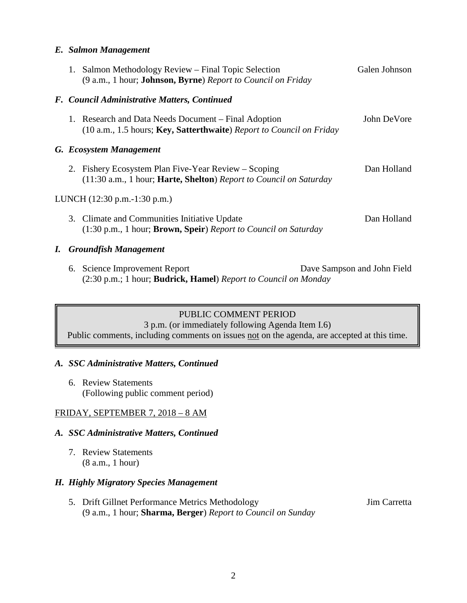#### *E. Salmon Management*

|                              |  | 1. Salmon Methodology Review – Final Topic Selection<br>(9 a.m., 1 hour; <b>Johnson, Byrne</b> ) Report to Council on Friday            | Galen Johnson |  |  |  |  |  |
|------------------------------|--|-----------------------------------------------------------------------------------------------------------------------------------------|---------------|--|--|--|--|--|
|                              |  | F. Council Administrative Matters, Continued                                                                                            |               |  |  |  |  |  |
|                              |  | 1. Research and Data Needs Document – Final Adoption<br>(10 a.m., 1.5 hours; Key, Satterthwaite) Report to Council on Friday            | John DeVore   |  |  |  |  |  |
|                              |  | G. Ecosystem Management                                                                                                                 |               |  |  |  |  |  |
|                              |  | 2. Fishery Ecosystem Plan Five-Year Review – Scoping<br>(11:30 a.m., 1 hour; <b>Harte, Shelton</b> ) Report to Council on Saturday      | Dan Holland   |  |  |  |  |  |
| LUNCH (12:30 p.m.-1:30 p.m.) |  |                                                                                                                                         |               |  |  |  |  |  |
|                              |  | 3. Climate and Communities Initiative Update<br>(1:30 p.m., 1 hour; Brown, Speir) Report to Council on Saturday                         | Dan Holland   |  |  |  |  |  |
|                              |  | I. Groundfish Management                                                                                                                |               |  |  |  |  |  |
|                              |  | 6. Science Improvement Report<br>Dave Sampson and John Field<br>(2:30 p.m.; 1 hour; <b>Budrick, Hamel</b> ) Report to Council on Monday |               |  |  |  |  |  |

#### PUBLIC COMMENT PERIOD

3 p.m. (or immediately following Agenda Item I.6)

Public comments, including comments on issues not on the agenda, are accepted at this time.

#### *A. SSC Administrative Matters, Continued*

6. Review Statements (Following public comment period)

#### FRIDAY, SEPTEMBER 7, 2018 – 8 AM

#### *A. SSC Administrative Matters, Continued*

7. Review Statements (8 a.m., 1 hour)

#### *H. Highly Migratory Species Management*

5. Drift Gillnet Performance Metrics Methodology Jim Carretta (9 a.m., 1 hour; **Sharma, Berger**) *Report to Council on Sunday*